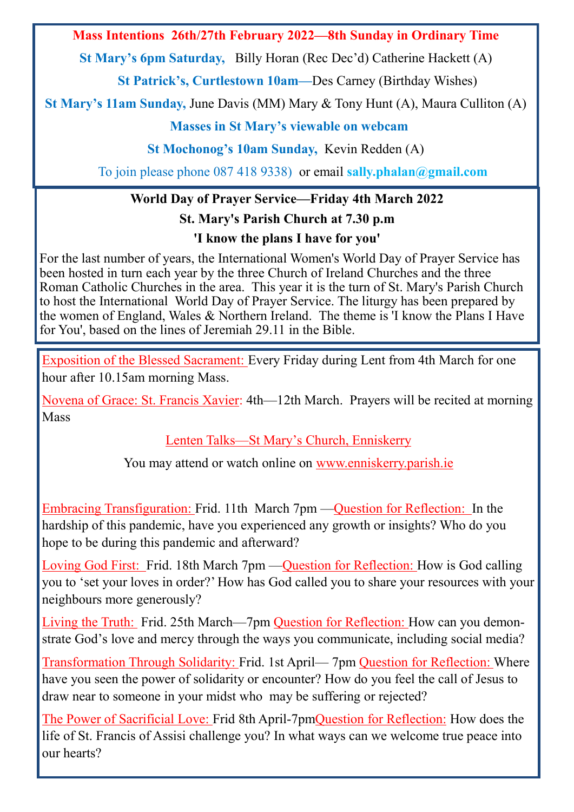**Mass Intentions 26th/27th February 2022—8th Sunday in Ordinary Time**

**St Mary's 6pm Saturday,** Billy Horan (Rec Dec'd) Catherine Hackett (A)

**St Patrick's, Curtlestown 10am—**Des Carney (Birthday Wishes)

**St Mary's 11am Sunday,** June Davis (MM) Mary & Tony Hunt (A), Maura Culliton (A)

## **Masses in St Mary's viewable on webcam**

**St Mochonog's 10am Sunday,** Kevin Redden (A)

To join please phone 087 418 9338) or email **sally.phalan@gmail.com**

## **World Day of Prayer Service—Friday 4th March 2022**

**St. Mary's Parish Church at 7.30 p.m**

## **'I know the plans I have for you'**

For the last number of years, the International Women's World Day of Prayer Service has been hosted in turn each year by the three Church of Ireland Churches and the three Roman Catholic Churches in the area. This year it is the turn of St. Mary's Parish Church to host the International World Day of Prayer Service. The liturgy has been prepared by the women of England, Wales & Northern Ireland. The theme is 'I know the Plans I Have for You', based on the lines of Jeremiah 29.11 in the Bible.

Exposition of the Blessed Sacrament: Every Friday during Lent from 4th March for one hour after 10.15am morning Mass.

Novena of Grace: St. Francis Xavier: 4th—12th March. Prayers will be recited at morning Mass

Lenten Talks—St Mary's Church, Enniskerry

You may attend or watch online on www.enniskerry.parish.ie

Embracing Transfiguration: Frid. 11th March 7pm —Question for Reflection: In the hardship of this pandemic, have you experienced any growth or insights? Who do you hope to be during this pandemic and afterward?

Loving God First: Frid. 18th March 7pm —Question for Reflection: How is God calling you to 'set your loves in order?' How has God called you to share your resources with your neighbours more generously?

Living the Truth: Frid. 25th March—7pm Question for Reflection: How can you demonstrate God's love and mercy through the ways you communicate, including social media?

Transformation Through Solidarity: Frid. 1st April— 7pm Question for Reflection: Where have you seen the power of solidarity or encounter? How do you feel the call of Jesus to draw near to someone in your midst who may be suffering or rejected?

The Power of Sacrificial Love: Frid 8th April-7pmQuestion for Reflection: How does the life of St. Francis of Assisi challenge you? In what ways can we welcome true peace into our hearts?